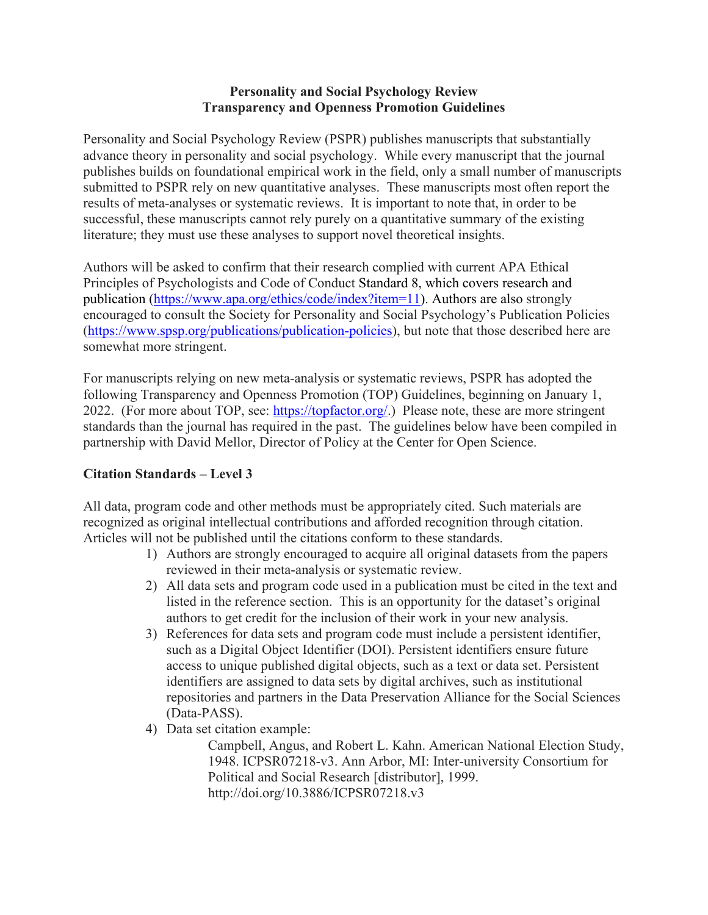#### **Personality and Social Psychology Review Transparency and Openness Promotion Guidelines**

Personality and Social Psychology Review (PSPR) publishes manuscripts that substantially advance theory in personality and social psychology. While every manuscript that the journal publishes builds on foundational empirical work in the field, only a small number of manuscripts submitted to PSPR rely on new quantitative analyses. These manuscripts most often report the results of meta-analyses or systematic reviews. It is important to note that, in order to be successful, these manuscripts cannot rely purely on a quantitative summary of the existing literature; they must use these analyses to support novel theoretical insights.

Authors will be asked to confirm that their research complied with current APA Ethical Principles of Psychologists and Code of Conduct Standard 8, which covers research and publication [\(https://www.apa.org/ethics/code/index?item=11\)](https://www.apa.org/ethics/code/index?item=11). Authors are also strongly encouraged to consult the Society for Personality and Social Psychology's Publication Policies [\(https://www.spsp.org/publications/publication-policies\)](https://www.spsp.org/publications/publication-policies), but note that those described here are somewhat more stringent.

For manuscripts relying on new meta-analysis or systematic reviews, PSPR has adopted the following Transparency and Openness Promotion (TOP) Guidelines, beginning on January 1, 2022. (For more about TOP, see: [https://topfactor.org/.](https://topfactor.org/)) Please note, these are more stringent standards than the journal has required in the past. The guidelines below have been compiled in partnership with David Mellor, Director of Policy at the Center for Open Science.

# **Citation Standards – Level 3**

All data, program code and other methods must be appropriately cited. Such materials are recognized as original intellectual contributions and afforded recognition through citation. Articles will not be published until the citations conform to these standards.

- 1) Authors are strongly encouraged to acquire all original datasets from the papers reviewed in their meta-analysis or systematic review.
- 2) All data sets and program code used in a publication must be cited in the text and listed in the reference section. This is an opportunity for the dataset's original authors to get credit for the inclusion of their work in your new analysis.
- 3) References for data sets and program code must include a persistent identifier, such as a Digital Object Identifier (DOI). Persistent identifiers ensure future access to unique published digital objects, such as a text or data set. Persistent identifiers are assigned to data sets by digital archives, such as institutional repositories and partners in the Data Preservation Alliance for the Social Sciences (Data-PASS).
- 4) Data set citation example:

Campbell, Angus, and Robert L. Kahn. American National Election Study, 1948. ICPSR07218-v3. Ann Arbor, MI: Inter-university Consortium for Political and Social Research [distributor], 1999. http://doi.org/10.3886/ICPSR07218.v3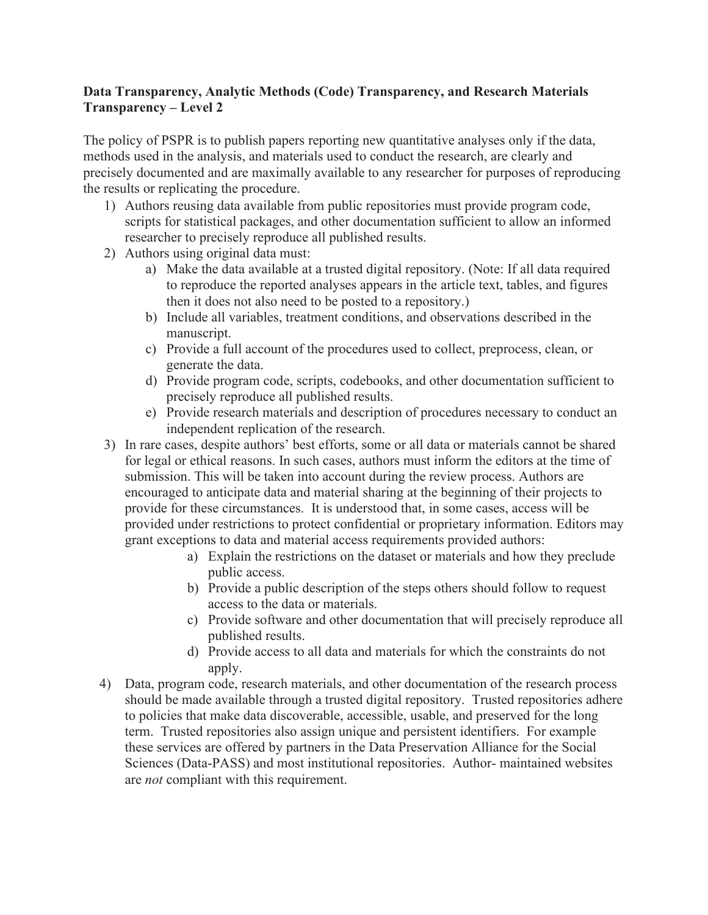# **Data Transparency, Analytic Methods (Code) Transparency, and Research Materials Transparency – Level 2**

The policy of PSPR is to publish papers reporting new quantitative analyses only if the data, methods used in the analysis, and materials used to conduct the research, are clearly and precisely documented and are maximally available to any researcher for purposes of reproducing the results or replicating the procedure.

- 1) Authors reusing data available from public repositories must provide program code, scripts for statistical packages, and other documentation sufficient to allow an informed researcher to precisely reproduce all published results.
- 2) Authors using original data must:
	- a) Make the data available at a trusted digital repository. (Note: If all data required to reproduce the reported analyses appears in the article text, tables, and figures then it does not also need to be posted to a repository.)
	- b) Include all variables, treatment conditions, and observations described in the manuscript.
	- c) Provide a full account of the procedures used to collect, preprocess, clean, or generate the data.
	- d) Provide program code, scripts, codebooks, and other documentation sufficient to precisely reproduce all published results.
	- e) Provide research materials and description of procedures necessary to conduct an independent replication of the research.
- 3) In rare cases, despite authors' best efforts, some or all data or materials cannot be shared for legal or ethical reasons. In such cases, authors must inform the editors at the time of submission. This will be taken into account during the review process. Authors are encouraged to anticipate data and material sharing at the beginning of their projects to provide for these circumstances. It is understood that, in some cases, access will be provided under restrictions to protect confidential or proprietary information. Editors may grant exceptions to data and material access requirements provided authors:
	- a) Explain the restrictions on the dataset or materials and how they preclude public access.
	- b) Provide a public description of the steps others should follow to request access to the data or materials.
	- c) Provide software and other documentation that will precisely reproduce all published results.
	- d) Provide access to all data and materials for which the constraints do not apply.
- 4) Data, program code, research materials, and other documentation of the research process should be made available through a trusted digital repository. Trusted repositories adhere to policies that make data discoverable, accessible, usable, and preserved for the long term. Trusted repositories also assign unique and persistent identifiers. For example these services are offered by partners in the Data Preservation Alliance for the Social Sciences (Data-PASS) and most institutional repositories. Author- maintained websites are *not* compliant with this requirement.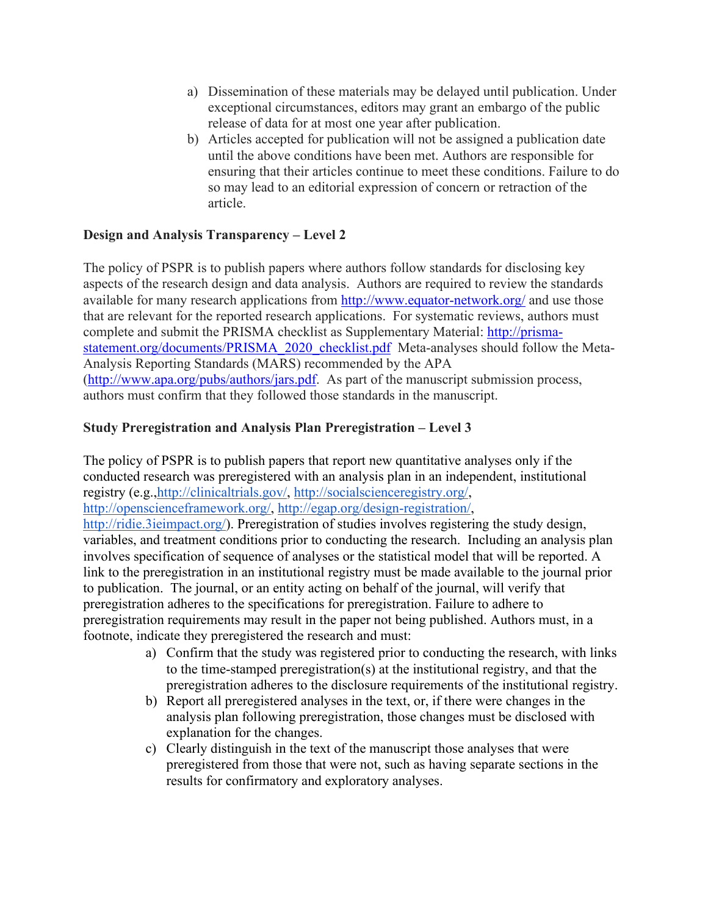- a) Dissemination of these materials may be delayed until publication. Under exceptional circumstances, editors may grant an embargo of the public release of data for at most one year after publication.
- b) Articles accepted for publication will not be assigned a publication date until the above conditions have been met. Authors are responsible for ensuring that their articles continue to meet these conditions. Failure to do so may lead to an editorial expression of concern or retraction of the article.

# **Design and Analysis Transparency – Level 2**

The policy of PSPR is to publish papers where authors follow standards for disclosing key aspects of the research design and data analysis. Authors are required to review the standards available for many research applications from<http://www.equator-network.org/> and use those that are relevant for the reported research applications. For systematic reviews, authors must complete and submit the PRISMA checklist as Supplementary Material: [http://prisma](http://prisma-statement.org/documents/PRISMA_2020_checklist.pdf)[statement.org/documents/PRISMA\\_2020\\_checklist.pdf](http://prisma-statement.org/documents/PRISMA_2020_checklist.pdf) Meta-analyses should follow the Meta-Analysis Reporting Standards (MARS) recommended by the APA [\(http://www.apa.org/pubs/authors/jars.pdf.](http://www.apa.org/pubs/authors/jars.pdf) As part of the manuscript submission process, authors must confirm that they followed those standards in the manuscript.

# **Study Preregistration and Analysis Plan Preregistration – Level 3**

The policy of PSPR is to publish papers that report new quantitative analyses only if the conducted research was preregistered with an analysis plan in an independent, institutional registry (e.g.[,http://clinicaltrials.gov/,](http://clinicaltrials.gov/) [http://socialscienceregistry.org/,](http://socialscienceregistry.org/) [http://openscienceframework.org/,](http://openscienceframework.org/) [http://egap.org/design-registration/,](http://egap.org/design-registration/)

[http://ridie.3ieimpact.org/\)](http://ridie.3ieimpact.org/). Preregistration of studies involves registering the study design, variables, and treatment conditions prior to conducting the research. Including an analysis plan involves specification of sequence of analyses or the statistical model that will be reported. A link to the preregistration in an institutional registry must be made available to the journal prior to publication. The journal, or an entity acting on behalf of the journal, will verify that preregistration adheres to the specifications for preregistration. Failure to adhere to preregistration requirements may result in the paper not being published. Authors must, in a footnote, indicate they preregistered the research and must:

- a) Confirm that the study was registered prior to conducting the research, with links to the time-stamped preregistration(s) at the institutional registry, and that the preregistration adheres to the disclosure requirements of the institutional registry.
- b) Report all preregistered analyses in the text, or, if there were changes in the analysis plan following preregistration, those changes must be disclosed with explanation for the changes.
- c) Clearly distinguish in the text of the manuscript those analyses that were preregistered from those that were not, such as having separate sections in the results for confirmatory and exploratory analyses.